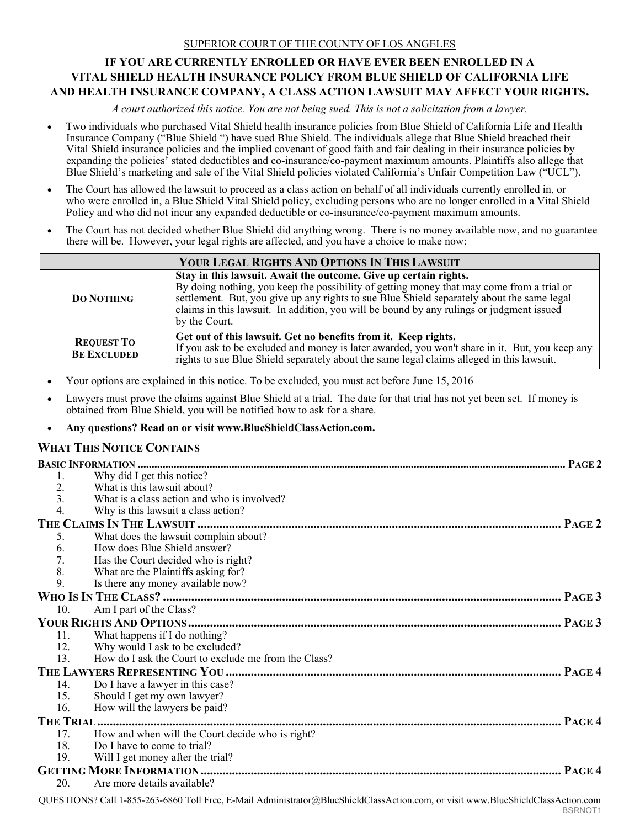## SUPERIOR COURT OF THE COUNTY OF LOS ANGELES

# **IF YOU ARE CURRENTLY ENROLLED OR HAVE EVER BEEN ENROLLED IN A VITAL SHIELD HEALTH INSURANCE POLICY FROM BLUE SHIELD OF CALIFORNIA LIFE AND HEALTH INSURANCE COMPANY, A CLASS ACTION LAWSUIT MAY AFFECT YOUR RIGHTS.**

*A court authorized this notice. You are not being sued. This is not a solicitation from a lawyer.* 

- Two individuals who purchased Vital Shield health insurance policies from Blue Shield of California Life and Health Insurance Company ("Blue Shield ") have sued Blue Shield. The individuals allege that Blue Shield breached their Vital Shield insurance policies and the implied covenant of good faith and fair dealing in their insurance policies by expanding the policies' stated deductibles and co-insurance/co-payment maximum amounts. Plaintiffs also allege that Blue Shield's marketing and sale of the Vital Shield policies violated California's Unfair Competition Law ("UCL").
- The Court has allowed the lawsuit to proceed as a class action on behalf of all individuals currently enrolled in, or who were enrolled in, a Blue Shield Vital Shield policy, excluding persons who are no longer enrolled in a Vital Shield Policy and who did not incur any expanded deductible or co-insurance/co-payment maximum amounts.
- The Court has not decided whether Blue Shield did anything wrong. There is no money available now, and no guarantee there will be. However, your legal rights are affected, and you have a choice to make now:

| YOUR LEGAL RIGHTS AND OPTIONS IN THIS LAWSUIT |                                                                                                                                                                                                                                                                                                                                                                          |  |
|-----------------------------------------------|--------------------------------------------------------------------------------------------------------------------------------------------------------------------------------------------------------------------------------------------------------------------------------------------------------------------------------------------------------------------------|--|
| <b>DO NOTHING</b>                             | Stay in this lawsuit. Await the outcome. Give up certain rights.<br>By doing nothing, you keep the possibility of getting money that may come from a trial or<br>settlement. But, you give up any rights to sue Blue Shield separately about the same legal<br>claims in this lawsuit. In addition, you will be bound by any rulings or judgment issued<br>by the Court. |  |
| <b>REQUEST TO</b><br><b>BE EXCLUDED</b>       | Get out of this lawsuit. Get no benefits from it. Keep rights.<br>If you ask to be excluded and money is later awarded, you won't share in it. But, you keep any<br>rights to sue Blue Shield separately about the same legal claims alleged in this lawsuit.                                                                                                            |  |

- Your options are explained in this notice. To be excluded, you must act before June 15, 2016
- Lawyers must prove the claims against Blue Shield at a trial. The date for that trial has not yet been set. If money is obtained from Blue Shield, you will be notified how to ask for a share.

# **Any questions? Read on or visit www.BlueShieldClassAction.com.**

# **WHAT THIS NOTICE CONTAINS**

| 1.               | Why did I get this notice?                           |
|------------------|------------------------------------------------------|
| 2.               | What is this lawsuit about?                          |
| $\overline{3}$ . | What is a class action and who is involved?          |
| 4.               | Why is this lawsuit a class action?                  |
|                  |                                                      |
| 5.               | What does the lawsuit complain about?                |
| 6.               | How does Blue Shield answer?                         |
| 7.               | Has the Court decided who is right?                  |
| 8.               | What are the Plaintiffs asking for?                  |
| 9.               | Is there any money available now?                    |
|                  |                                                      |
| 10.              | Am I part of the Class?                              |
|                  |                                                      |
| 11.              | What happens if I do nothing?                        |
| 12.              | Why would I ask to be excluded?                      |
| 13.              | How do I ask the Court to exclude me from the Class? |
|                  |                                                      |
| 14.              | Do I have a lawyer in this case?                     |
| 15.              | Should I get my own lawyer?                          |
| 16.              | How will the lawyers be paid?                        |
|                  |                                                      |
| 17.              | How and when will the Court decide who is right?     |
| 18.              | Do I have to come to trial?                          |
| 19.              | Will I get money after the trial?                    |
|                  |                                                      |
| 20.              | Are more details available?                          |
|                  |                                                      |

QUESTIONS? Call 1-855-263-6860 Toll Free, E-Mail Administrator@BlueShieldClassAction.com, or visit www.BlueShieldClassAction.com BSRNOT1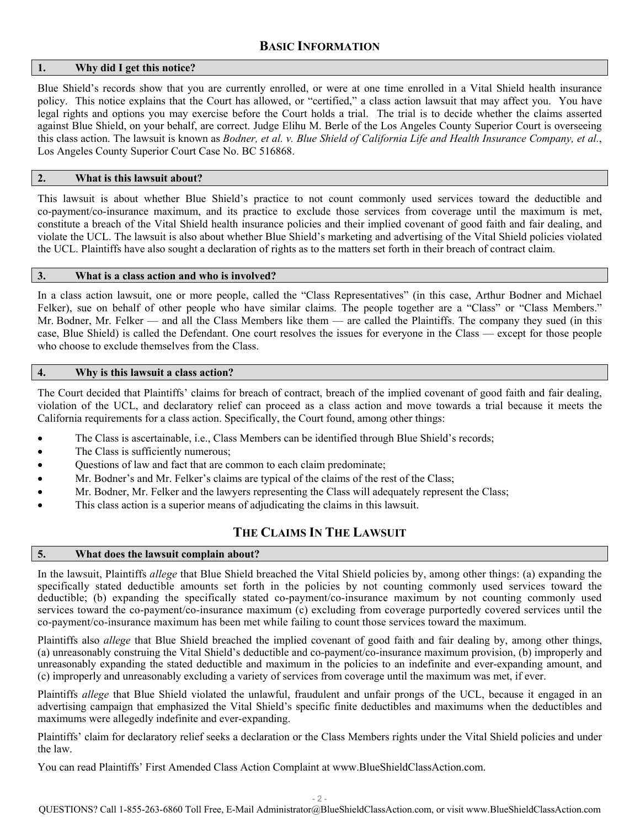## **1. Why did I get this notice?**

Blue Shield's records show that you are currently enrolled, or were at one time enrolled in a Vital Shield health insurance policy. This notice explains that the Court has allowed, or "certified," a class action lawsuit that may affect you. You have legal rights and options you may exercise before the Court holds a trial. The trial is to decide whether the claims asserted against Blue Shield, on your behalf, are correct. Judge Elihu M. Berle of the Los Angeles County Superior Court is overseeing this class action. The lawsuit is known as *Bodner, et al. v. Blue Shield of California Life and Health Insurance Company, et al.*, Los Angeles County Superior Court Case No. BC 516868.

# **2. What is this lawsuit about?**

This lawsuit is about whether Blue Shield's practice to not count commonly used services toward the deductible and co-payment/co-insurance maximum, and its practice to exclude those services from coverage until the maximum is met, constitute a breach of the Vital Shield health insurance policies and their implied covenant of good faith and fair dealing, and violate the UCL. The lawsuit is also about whether Blue Shield's marketing and advertising of the Vital Shield policies violated the UCL. Plaintiffs have also sought a declaration of rights as to the matters set forth in their breach of contract claim.

# **3. What is a class action and who is involved?**

In a class action lawsuit, one or more people, called the "Class Representatives" (in this case, Arthur Bodner and Michael Felker), sue on behalf of other people who have similar claims. The people together are a "Class" or "Class Members." Mr. Bodner, Mr. Felker — and all the Class Members like them — are called the Plaintiffs. The company they sued (in this case, Blue Shield) is called the Defendant. One court resolves the issues for everyone in the Class — except for those people who choose to exclude themselves from the Class.

# **4. Why is this lawsuit a class action?**

The Court decided that Plaintiffs' claims for breach of contract, breach of the implied covenant of good faith and fair dealing, violation of the UCL, and declaratory relief can proceed as a class action and move towards a trial because it meets the California requirements for a class action. Specifically, the Court found, among other things:

- The Class is ascertainable, i.e., Class Members can be identified through Blue Shield's records;
- The Class is sufficiently numerous;
- Questions of law and fact that are common to each claim predominate;
- Mr. Bodner's and Mr. Felker's claims are typical of the claims of the rest of the Class;
- Mr. Bodner, Mr. Felker and the lawyers representing the Class will adequately represent the Class;
- This class action is a superior means of adjudicating the claims in this lawsuit.

# **THE CLAIMS IN THE LAWSUIT**

## **5. What does the lawsuit complain about?**

In the lawsuit, Plaintiffs *allege* that Blue Shield breached the Vital Shield policies by, among other things: (a) expanding the specifically stated deductible amounts set forth in the policies by not counting commonly used services toward the deductible; (b) expanding the specifically stated co-payment/co-insurance maximum by not counting commonly used services toward the co-payment/co-insurance maximum (c) excluding from coverage purportedly covered services until the co-payment/co-insurance maximum has been met while failing to count those services toward the maximum.

Plaintiffs also *allege* that Blue Shield breached the implied covenant of good faith and fair dealing by, among other things, (a) unreasonably construing the Vital Shield's deductible and co-payment/co-insurance maximum provision, (b) improperly and unreasonably expanding the stated deductible and maximum in the policies to an indefinite and ever-expanding amount, and (c) improperly and unreasonably excluding a variety of services from coverage until the maximum was met, if ever.

Plaintiffs *allege* that Blue Shield violated the unlawful, fraudulent and unfair prongs of the UCL, because it engaged in an advertising campaign that emphasized the Vital Shield's specific finite deductibles and maximums when the deductibles and maximums were allegedly indefinite and ever-expanding.

Plaintiffs' claim for declaratory relief seeks a declaration or the Class Members rights under the Vital Shield policies and under the law.

You can read Plaintiffs' First Amended Class Action Complaint at www.BlueShieldClassAction.com.

- 2 -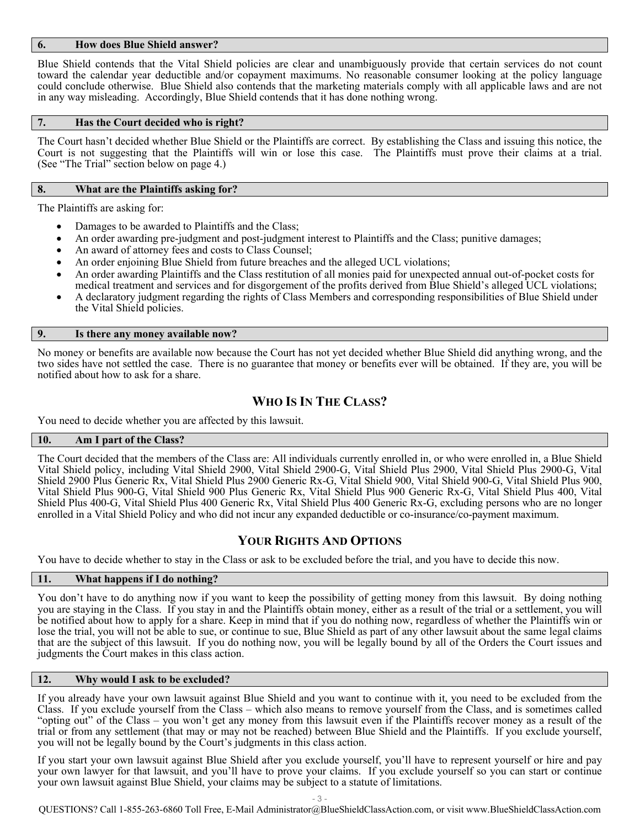## **6. How does Blue Shield answer?**

Blue Shield contends that the Vital Shield policies are clear and unambiguously provide that certain services do not count toward the calendar year deductible and/or copayment maximums. No reasonable consumer looking at the policy language could conclude otherwise. Blue Shield also contends that the marketing materials comply with all applicable laws and are not in any way misleading. Accordingly, Blue Shield contends that it has done nothing wrong.

#### **7. Has the Court decided who is right?**

The Court hasn't decided whether Blue Shield or the Plaintiffs are correct. By establishing the Class and issuing this notice, the Court is not suggesting that the Plaintiffs will win or lose this case. The Plaintiffs must prove their claims at a trial. (See "The Trial" section below on page 4.)

#### **8. What are the Plaintiffs asking for?**

The Plaintiffs are asking for:

- Damages to be awarded to Plaintiffs and the Class;
- An order awarding pre-judgment and post-judgment interest to Plaintiffs and the Class; punitive damages;
- An award of attorney fees and costs to Class Counsel;
- An order enjoining Blue Shield from future breaches and the alleged UCL violations;
- An order awarding Plaintiffs and the Class restitution of all monies paid for unexpected annual out-of-pocket costs for medical treatment and services and for disgorgement of the profits derived from Blue Shield's alleged UCL violations;
- A declaratory judgment regarding the rights of Class Members and corresponding responsibilities of Blue Shield under the Vital Shield policies.

### **9. Is there any money available now?**

No money or benefits are available now because the Court has not yet decided whether Blue Shield did anything wrong, and the two sides have not settled the case. There is no guarantee that money or benefits ever will be obtained. If they are, you will be notified about how to ask for a share.

# **WHO IS IN THE CLASS?**

You need to decide whether you are affected by this lawsuit.

#### **10. Am I part of the Class?**

The Court decided that the members of the Class are: All individuals currently enrolled in, or who were enrolled in, a Blue Shield Vital Shield policy, including Vital Shield 2900, Vital Shield 2900-G, Vital Shield Plus 2900, Vital Shield Plus 2900-G, Vital Shield 2900 Plus Generic Rx, Vital Shield Plus 2900 Generic Rx-G, Vital Shield 900, Vital Shield 900-G, Vital Shield Plus 900, Vital Shield Plus 900-G, Vital Shield 900 Plus Generic Rx, Vital Shield Plus 900 Generic Rx-G, Vital Shield Plus 400, Vital Shield Plus 400-G, Vital Shield Plus 400 Generic Rx, Vital Shield Plus 400 Generic Rx-G, excluding persons who are no longer enrolled in a Vital Shield Policy and who did not incur any expanded deductible or co-insurance/co-payment maximum.

# **YOUR RIGHTS AND OPTIONS**

You have to decide whether to stay in the Class or ask to be excluded before the trial, and you have to decide this now.

#### **11. What happens if I do nothing?**

You don't have to do anything now if you want to keep the possibility of getting money from this lawsuit. By doing nothing you are staying in the Class. If you stay in and the Plaintiffs obtain money, either as a result of the trial or a settlement, you will be notified about how to apply for a share. Keep in mind that if you do nothing now, regardless of whether the Plaintiffs win or lose the trial, you will not be able to sue, or continue to sue, Blue Shield as part of any other lawsuit about the same legal claims that are the subject of this lawsuit. If you do nothing now, you will be legally bound by all of the Orders the Court issues and judgments the Court makes in this class action.

## **12. Why would I ask to be excluded?**

If you already have your own lawsuit against Blue Shield and you want to continue with it, you need to be excluded from the Class. If you exclude yourself from the Class – which also means to remove yourself from the Class, and is sometimes called "opting out" of the Class – you won't get any money from this lawsuit even if the Plaintiffs recover money as a result of the trial or from any settlement (that may or may not be reached) between Blue Shield and the Plaintiffs. If you exclude yourself, you will not be legally bound by the Court's judgments in this class action.

If you start your own lawsuit against Blue Shield after you exclude yourself, you'll have to represent yourself or hire and pay your own lawyer for that lawsuit, and you'll have to prove your claims. If you exclude yourself so you can start or continue your own lawsuit against Blue Shield, your claims may be subject to a statute of limitations.

- 3 -

QUESTIONS? Call 1-855-263-6860 Toll Free, E-Mail Administrator@BlueShieldClassAction.com, or visit www.BlueShieldClassAction.com